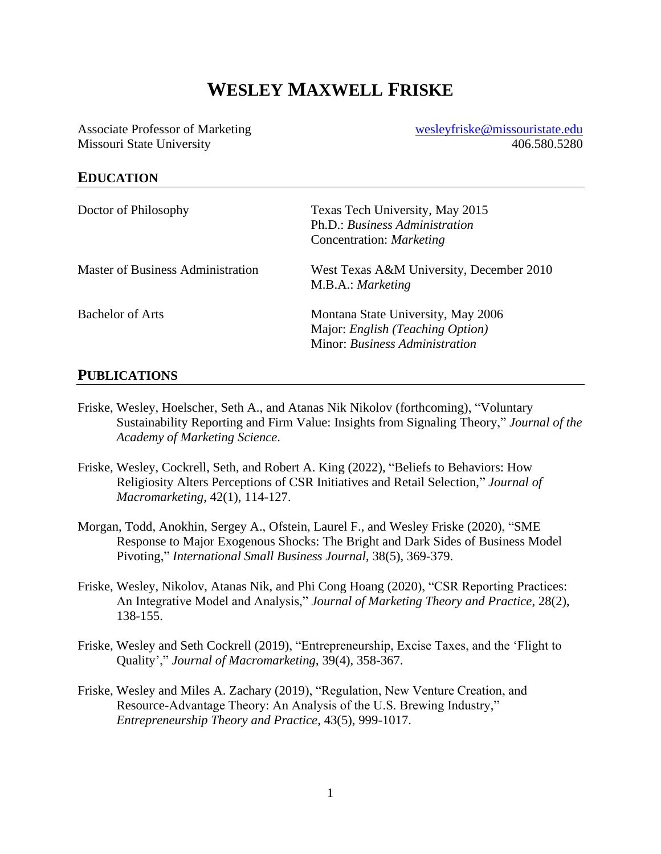# **WESLEY MAXWELL FRISKE**

Associate Professor of Marketing Missouri State University

[wesleyfriske@missouristate.edu](mailto:wesleyfriske@missouristate.edu) 406.580.5280

### **EDUCATION**

| Doctor of Philosophy              | Texas Tech University, May 2015<br>Ph.D.: Business Administration<br>Concentration: Marketing            |
|-----------------------------------|----------------------------------------------------------------------------------------------------------|
| Master of Business Administration | West Texas A&M University, December 2010<br>M.B.A.: Marketing                                            |
| <b>Bachelor of Arts</b>           | Montana State University, May 2006<br>Major: English (Teaching Option)<br>Minor: Business Administration |

### **PUBLICATIONS**

- Friske, Wesley, Hoelscher, Seth A., and Atanas Nik Nikolov (forthcoming), "Voluntary Sustainability Reporting and Firm Value: Insights from Signaling Theory," *Journal of the Academy of Marketing Science*.
- Friske, Wesley, Cockrell, Seth, and Robert A. King (2022), "Beliefs to Behaviors: How Religiosity Alters Perceptions of CSR Initiatives and Retail Selection," *Journal of Macromarketing*, 42(1), 114-127.
- Morgan, Todd, Anokhin, Sergey A., Ofstein, Laurel F., and Wesley Friske (2020), "SME Response to Major Exogenous Shocks: The Bright and Dark Sides of Business Model Pivoting," *International Small Business Journal*, 38(5), 369-379.
- Friske, Wesley, Nikolov, Atanas Nik, and Phi Cong Hoang (2020), "CSR Reporting Practices: An Integrative Model and Analysis," *Journal of Marketing Theory and Practice*, 28(2), 138-155.
- Friske, Wesley and Seth Cockrell (2019), "Entrepreneurship, Excise Taxes, and the 'Flight to Quality'," *Journal of Macromarketing*, 39(4), 358-367.
- Friske, Wesley and Miles A. Zachary (2019), "Regulation, New Venture Creation, and Resource-Advantage Theory: An Analysis of the U.S. Brewing Industry," *Entrepreneurship Theory and Practice*, 43(5), 999-1017.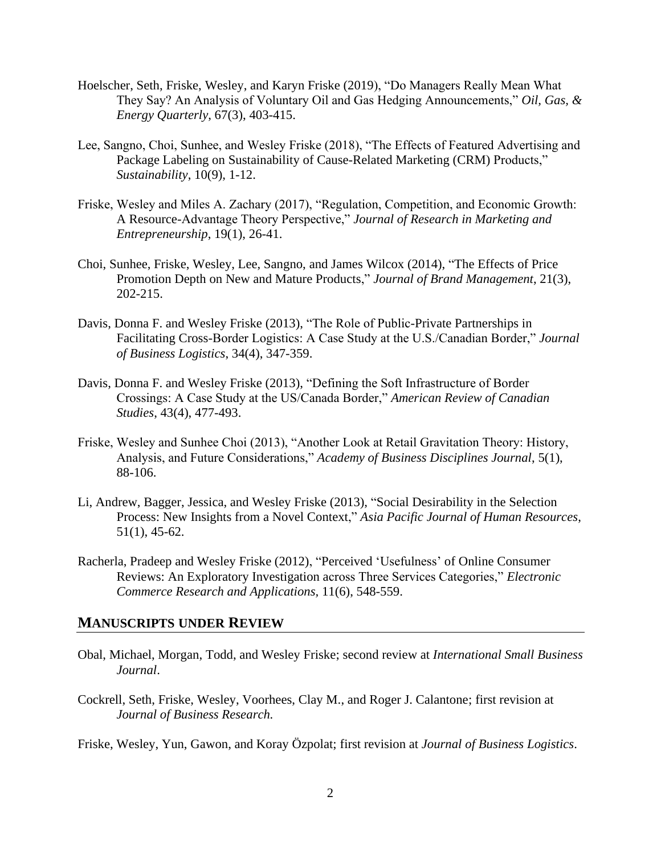- Hoelscher, Seth, Friske, Wesley, and Karyn Friske (2019), "Do Managers Really Mean What They Say? An Analysis of Voluntary Oil and Gas Hedging Announcements," *Oil, Gas, & Energy Quarterly*, 67(3), 403-415.
- Lee, Sangno, Choi, Sunhee, and Wesley Friske (2018), "The Effects of Featured Advertising and Package Labeling on Sustainability of Cause-Related Marketing (CRM) Products," *Sustainability*, 10(9), 1-12.
- Friske, Wesley and Miles A. Zachary (2017), "Regulation, Competition, and Economic Growth: A Resource-Advantage Theory Perspective," *Journal of Research in Marketing and Entrepreneurship*, 19(1), 26-41.
- Choi, Sunhee, Friske, Wesley, Lee, Sangno, and James Wilcox (2014), "The Effects of Price Promotion Depth on New and Mature Products," *Journal of Brand Management*, 21(3), 202-215.
- Davis, Donna F. and Wesley Friske (2013), "The Role of Public-Private Partnerships in Facilitating Cross-Border Logistics: A Case Study at the U.S./Canadian Border," *Journal of Business Logistics*, 34(4), 347-359.
- Davis, Donna F. and Wesley Friske (2013), "Defining the Soft Infrastructure of Border Crossings: A Case Study at the US/Canada Border," *American Review of Canadian Studies*, 43(4), 477-493.
- Friske, Wesley and Sunhee Choi (2013), "Another Look at Retail Gravitation Theory: History, Analysis, and Future Considerations," *Academy of Business Disciplines Journal*, 5(1), 88-106.
- Li, Andrew, Bagger, Jessica, and Wesley Friske (2013), "Social Desirability in the Selection Process: New Insights from a Novel Context," *Asia Pacific Journal of Human Resources*, 51(1), 45-62.
- Racherla, Pradeep and Wesley Friske (2012), "Perceived 'Usefulness' of Online Consumer Reviews: An Exploratory Investigation across Three Services Categories," *Electronic Commerce Research and Applications,* 11(6), 548-559.

### **MANUSCRIPTS UNDER REVIEW**

- Obal, Michael, Morgan, Todd, and Wesley Friske; second review at *International Small Business Journal*.
- Cockrell, Seth, Friske, Wesley, Voorhees, Clay M., and Roger J. Calantone; first revision at *Journal of Business Research.*

Friske, Wesley, Yun, Gawon, and Koray Özpolat; first revision at *Journal of Business Logistics*.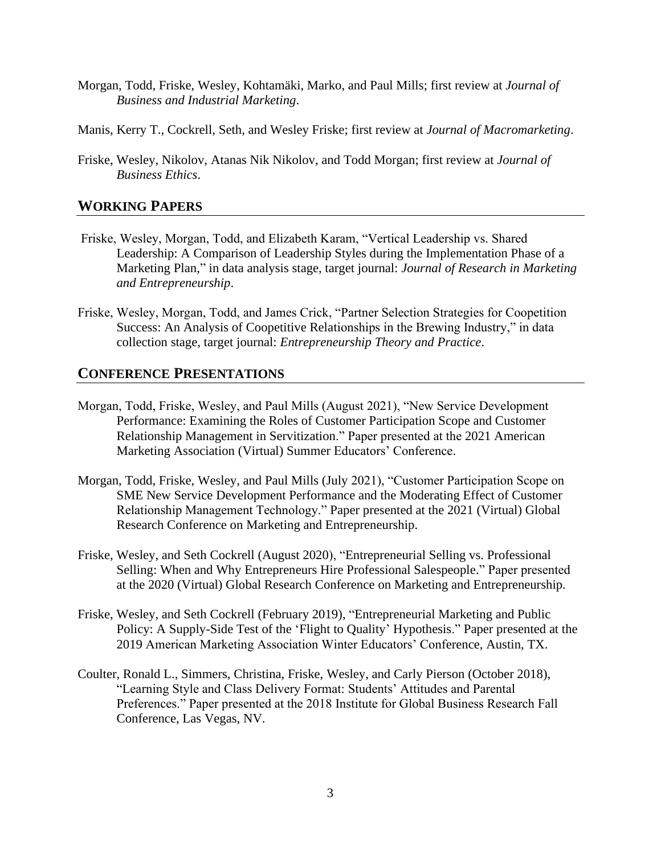- Morgan, Todd, Friske, Wesley, Kohtamäki, Marko, and Paul Mills; first review at *Journal of Business and Industrial Marketing*.
- Manis, Kerry T., Cockrell, Seth, and Wesley Friske; first review at *Journal of Macromarketing*.
- Friske, Wesley, Nikolov, Atanas Nik Nikolov, and Todd Morgan; first review at *Journal of Business Ethics*.

## **WORKING PAPERS**

- Friske, Wesley, Morgan, Todd, and Elizabeth Karam, "Vertical Leadership vs. Shared Leadership: A Comparison of Leadership Styles during the Implementation Phase of a Marketing Plan," in data analysis stage, target journal: *Journal of Research in Marketing and Entrepreneurship*.
- Friske, Wesley, Morgan, Todd, and James Crick, "Partner Selection Strategies for Coopetition Success: An Analysis of Coopetitive Relationships in the Brewing Industry," in data collection stage, target journal: *Entrepreneurship Theory and Practice*.

## **CONFERENCE PRESENTATIONS**

- Morgan, Todd, Friske, Wesley, and Paul Mills (August 2021), "New Service Development Performance: Examining the Roles of Customer Participation Scope and Customer Relationship Management in Servitization." Paper presented at the 2021 American Marketing Association (Virtual) Summer Educators' Conference.
- Morgan, Todd, Friske, Wesley, and Paul Mills (July 2021), "Customer Participation Scope on SME New Service Development Performance and the Moderating Effect of Customer Relationship Management Technology." Paper presented at the 2021 (Virtual) Global Research Conference on Marketing and Entrepreneurship.
- Friske, Wesley, and Seth Cockrell (August 2020), "Entrepreneurial Selling vs. Professional Selling: When and Why Entrepreneurs Hire Professional Salespeople." Paper presented at the 2020 (Virtual) Global Research Conference on Marketing and Entrepreneurship.
- Friske, Wesley, and Seth Cockrell (February 2019), "Entrepreneurial Marketing and Public Policy: A Supply-Side Test of the 'Flight to Quality' Hypothesis." Paper presented at the 2019 American Marketing Association Winter Educators' Conference, Austin, TX.
- Coulter, Ronald L., Simmers, Christina, Friske, Wesley, and Carly Pierson (October 2018), "Learning Style and Class Delivery Format: Students' Attitudes and Parental Preferences." Paper presented at the 2018 Institute for Global Business Research Fall Conference, Las Vegas, NV.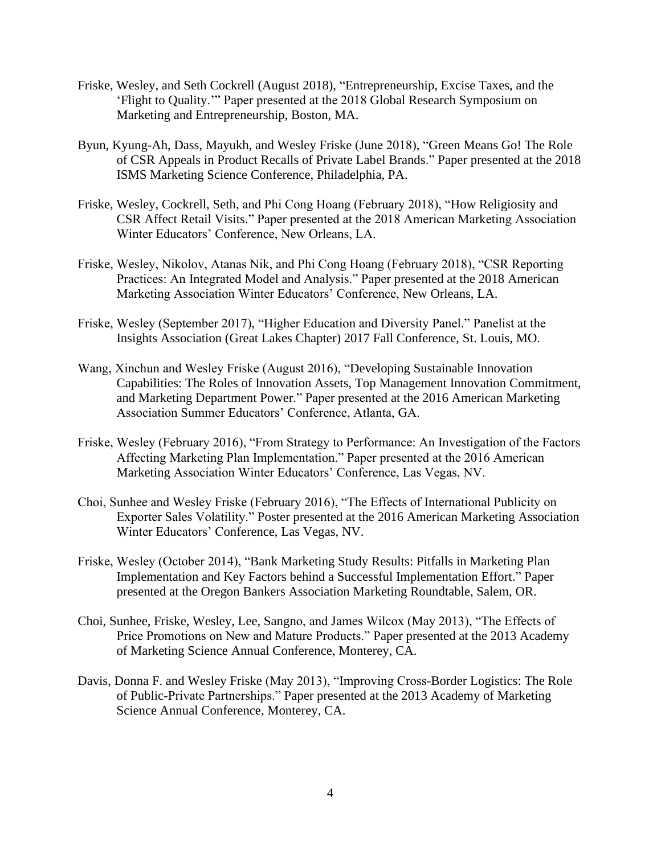- Friske, Wesley, and Seth Cockrell (August 2018), "Entrepreneurship, Excise Taxes, and the 'Flight to Quality.'" Paper presented at the 2018 Global Research Symposium on Marketing and Entrepreneurship, Boston, MA.
- Byun, Kyung-Ah, Dass, Mayukh, and Wesley Friske (June 2018), "Green Means Go! The Role of CSR Appeals in Product Recalls of Private Label Brands." Paper presented at the 2018 ISMS Marketing Science Conference, Philadelphia, PA.
- Friske, Wesley, Cockrell, Seth, and Phi Cong Hoang (February 2018), "How Religiosity and CSR Affect Retail Visits." Paper presented at the 2018 American Marketing Association Winter Educators' Conference, New Orleans, LA.
- Friske, Wesley, Nikolov, Atanas Nik, and Phi Cong Hoang (February 2018), "CSR Reporting Practices: An Integrated Model and Analysis." Paper presented at the 2018 American Marketing Association Winter Educators' Conference, New Orleans, LA.
- Friske, Wesley (September 2017), "Higher Education and Diversity Panel." Panelist at the Insights Association (Great Lakes Chapter) 2017 Fall Conference, St. Louis, MO.
- Wang, Xinchun and Wesley Friske (August 2016), "Developing Sustainable Innovation Capabilities: The Roles of Innovation Assets, Top Management Innovation Commitment, and Marketing Department Power." Paper presented at the 2016 American Marketing Association Summer Educators' Conference, Atlanta, GA.
- Friske, Wesley (February 2016), "From Strategy to Performance: An Investigation of the Factors Affecting Marketing Plan Implementation." Paper presented at the 2016 American Marketing Association Winter Educators' Conference, Las Vegas, NV.
- Choi, Sunhee and Wesley Friske (February 2016), "The Effects of International Publicity on Exporter Sales Volatility." Poster presented at the 2016 American Marketing Association Winter Educators' Conference, Las Vegas, NV.
- Friske, Wesley (October 2014), "Bank Marketing Study Results: Pitfalls in Marketing Plan Implementation and Key Factors behind a Successful Implementation Effort." Paper presented at the Oregon Bankers Association Marketing Roundtable, Salem, OR.
- Choi, Sunhee, Friske, Wesley, Lee, Sangno, and James Wilcox (May 2013), "The Effects of Price Promotions on New and Mature Products." Paper presented at the 2013 Academy of Marketing Science Annual Conference, Monterey, CA.
- Davis, Donna F. and Wesley Friske (May 2013), "Improving Cross-Border Logistics: The Role of Public-Private Partnerships." Paper presented at the 2013 Academy of Marketing Science Annual Conference, Monterey, CA.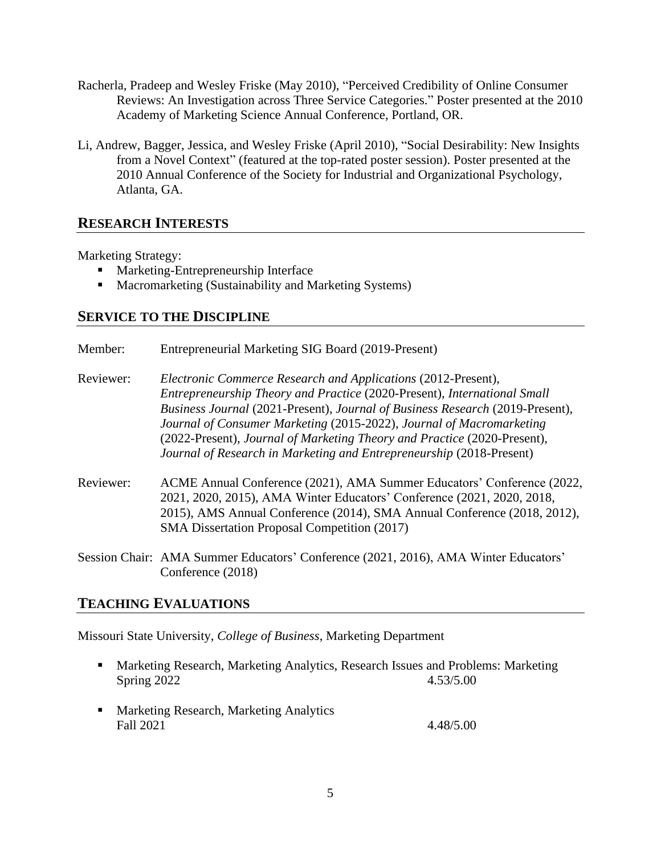- Racherla, Pradeep and Wesley Friske (May 2010), "Perceived Credibility of Online Consumer Reviews: An Investigation across Three Service Categories." Poster presented at the 2010 Academy of Marketing Science Annual Conference, Portland, OR.
- Li, Andrew, Bagger, Jessica, and Wesley Friske (April 2010), "Social Desirability: New Insights from a Novel Context" (featured at the top-rated poster session). Poster presented at the 2010 Annual Conference of the Society for Industrial and Organizational Psychology, Atlanta, GA.

# **RESEARCH INTERESTS**

Marketing Strategy:

- Marketing-Entrepreneurship Interface
- Macromarketing (Sustainability and Marketing Systems)

## **SERVICE TO THE DISCIPLINE**

- Member: Entrepreneurial Marketing SIG Board (2019-Present) Reviewer: *Electronic Commerce Research and Applications* (2012-Present), *Entrepreneurship Theory and Practice* (2020-Present), *International Small Business Journal* (2021-Present), *Journal of Business Research* (2019-Present), *Journal of Consumer Marketing* (2015-2022), *Journal of Macromarketing* (2022-Present), *Journal of Marketing Theory and Practice* (2020-Present), *Journal of Research in Marketing and Entrepreneurship* (2018-Present)
- Reviewer: ACME Annual Conference (2021), AMA Summer Educators' Conference (2022, 2021, 2020, 2015), AMA Winter Educators' Conference (2021, 2020, 2018, 2015), AMS Annual Conference (2014), SMA Annual Conference (2018, 2012), SMA Dissertation Proposal Competition (2017)
- Session Chair: AMA Summer Educators' Conference (2021, 2016), AMA Winter Educators' Conference (2018)

## **TEACHING EVALUATIONS**

Missouri State University, *College of Business*, Marketing Department

- Marketing Research, Marketing Analytics, Research Issues and Problems: Marketing Spring 2022 4.53/5.00
- Marketing Research, Marketing Analytics Fall 2021 4.48/5.00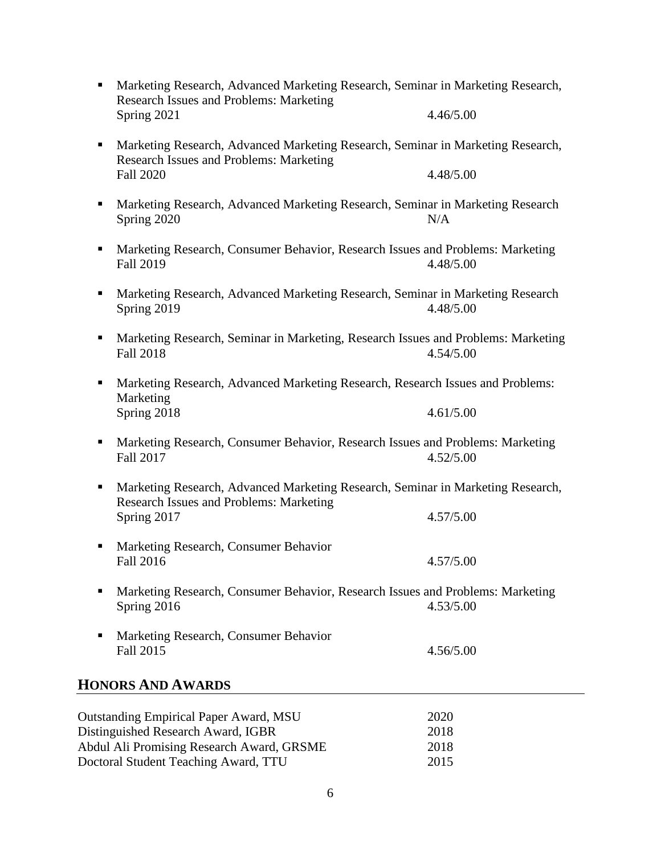| ٠ | Marketing Research, Advanced Marketing Research, Seminar in Marketing Research,<br><b>Research Issues and Problems: Marketing</b><br>Spring 2021 | 4.46/5.00            |
|---|--------------------------------------------------------------------------------------------------------------------------------------------------|----------------------|
| ٠ | Marketing Research, Advanced Marketing Research, Seminar in Marketing Research,                                                                  |                      |
|   | Research Issues and Problems: Marketing<br><b>Fall 2020</b>                                                                                      | 4.48/5.00            |
| п | Marketing Research, Advanced Marketing Research, Seminar in Marketing Research<br>Spring 2020                                                    | N/A                  |
| ٠ | Marketing Research, Consumer Behavior, Research Issues and Problems: Marketing<br><b>Fall 2019</b>                                               | 4.48/5.00            |
| п | Marketing Research, Advanced Marketing Research, Seminar in Marketing Research<br>Spring 2019                                                    | 4.48/5.00            |
| ٠ | Marketing Research, Seminar in Marketing, Research Issues and Problems: Marketing<br><b>Fall 2018</b>                                            | 4.54/5.00            |
| ٠ | Marketing Research, Advanced Marketing Research, Research Issues and Problems:<br>Marketing<br>Spring 2018                                       | 4.61/5.00            |
| п | Marketing Research, Consumer Behavior, Research Issues and Problems: Marketing<br>Fall 2017                                                      | 4.52/5.00            |
| ٠ | Marketing Research, Advanced Marketing Research, Seminar in Marketing Research,<br><b>Research Issues and Problems: Marketing</b>                |                      |
|   | Spring 2017                                                                                                                                      | 4.57/5.00            |
| п | Marketing Research, Consumer Behavior<br><b>Fall 2016</b>                                                                                        | 4.57/5.00            |
| п | Marketing Research, Consumer Behavior, Research Issues and Problems: Marketing<br>Spring 2016                                                    | 4.53/5.00            |
| п | Marketing Research, Consumer Behavior<br><b>Fall 2015</b>                                                                                        | 4.56/5.00            |
|   | <b>HONORS AND AWARDS</b>                                                                                                                         |                      |
|   |                                                                                                                                                  |                      |
|   |                                                                                                                                                  |                      |
|   |                                                                                                                                                  |                      |
|   | <b>Outstanding Empirical Paper Award, MSU</b><br>Distinguished Research Award, IGBR<br>Abdul Ali Promising Research Award, GRSME                 | 2020<br>2018<br>2018 |

Doctoral Student Teaching Award, TTU 2015